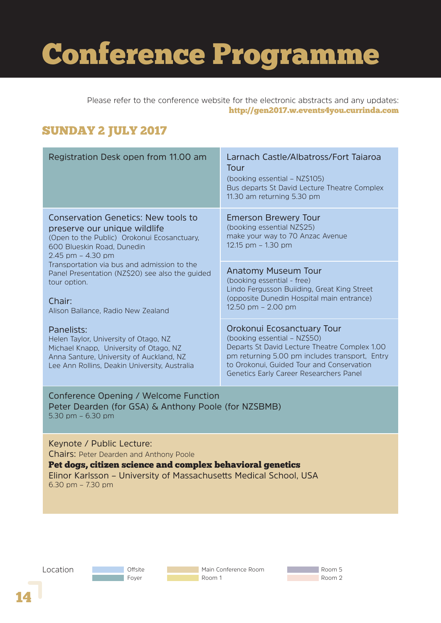# Conference Programme

Please refer to the conference website for the electronic abstracts and any updates: http://gen2017.w.events4you.currinda.com

### SUNDAY 2 JULY 2017

| Registration Desk open from 11.00 am                                                                                                                                                       | Larnach Castle/Albatross/Fort Tajaroa<br>Tour<br>(booking essential – NZ\$105)<br>Bus departs St David Lecture Theatre Complex<br>11.30 am returning 5.30 pm                                                                                          |
|--------------------------------------------------------------------------------------------------------------------------------------------------------------------------------------------|-------------------------------------------------------------------------------------------------------------------------------------------------------------------------------------------------------------------------------------------------------|
| <b>Conservation Genetics: New tools to</b><br>preserve our unique wildlife<br>(Open to the Public) Orokonui Ecosanctuary,<br>600 Blueskin Road, Dunedin<br>$2.45$ pm $- 4.30$ pm           | <b>Emerson Brewery Tour</b><br>(booking essential NZ\$25)<br>make your way to 70 Anzac Avenue<br>12.15 pm $-$ 1.30 pm                                                                                                                                 |
| Transportation via bus and admission to the<br>Panel Presentation (NZ\$20) see also the guided<br>tour option.<br>Chair:<br>Alison Ballance, Radio New Zealand                             | <b>Anatomy Museum Tour</b><br>(booking essential - free)<br>Lindo Fergusson Building, Great King Street<br>(opposite Dunedin Hospital main entrance)<br>12.50 pm $-$ 2.00 pm                                                                          |
| Panelists:<br>Helen Taylor, University of Otago, NZ<br>Michael Knapp, University of Otago, NZ<br>Anna Santure, University of Auckland, NZ<br>Lee Ann Rollins, Deakin University, Australia | Orokonui Ecosanctuary Tour<br>(booking essential - NZ\$50)<br>Departs St David Lecture Theatre Complex 1.00<br>pm returning 5.00 pm includes transport, Entry<br>to Orokonui, Guided Tour and Conservation<br>Genetics Early Career Researchers Panel |
| Conference Opening / Welcome Function<br>Peter Dearden (for GSA) & Anthony Poole (for NZSBMB)<br>5.30 pm $-6.30$ pm                                                                        |                                                                                                                                                                                                                                                       |

Keynote / Public Lecture: Chairs: Peter Dearden and Anthony Poole

Pet dogs, citizen science and complex behavioral genetics

Elinor Karlsson – University of Massachusetts Medical School, USA 6.30 pm – 7.30 pm

Location

Offsite Foyer

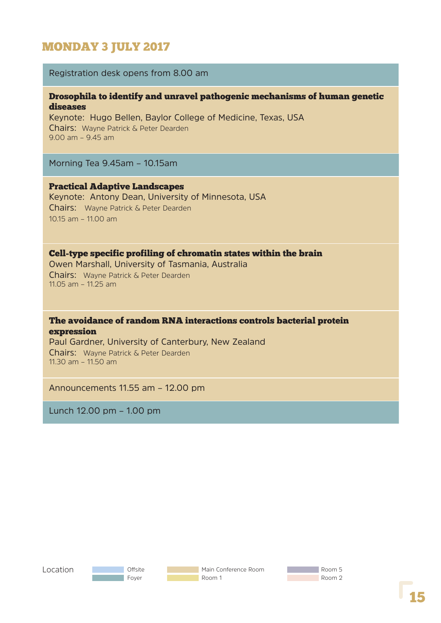## MONDAY 3 JULY 2017

#### Registration desk opens from 8.00 am

#### Drosophila to identify and unravel pathogenic mechanisms of human genetic diseases

Keynote: Hugo Bellen, Baylor College of Medicine, Texas, USA Chairs: Wayne Patrick & Peter Dearden 9.00 am – 9.45 am

Morning Tea 9.45am – 10.15am

Practical Adaptive Landscapes Keynote: Antony Dean, University of Minnesota, USA Chairs: Wayne Patrick & Peter Dearden 10.15 am – 11.00 am

#### Cell-type specific profiling of chromatin states within the brain

Owen Marshall, University of Tasmania, Australia Chairs: Wayne Patrick & Peter Dearden 11.05 am – 11.25 am

#### The avoidance of random RNA interactions controls bacterial protein expression

Paul Gardner, University of Canterbury, New Zealand Chairs: Wayne Patrick & Peter Dearden 11.30 am – 11.50 am

Announcements 11.55 am – 12.00 pm

Lunch 12.00 pm – 1.00 pm

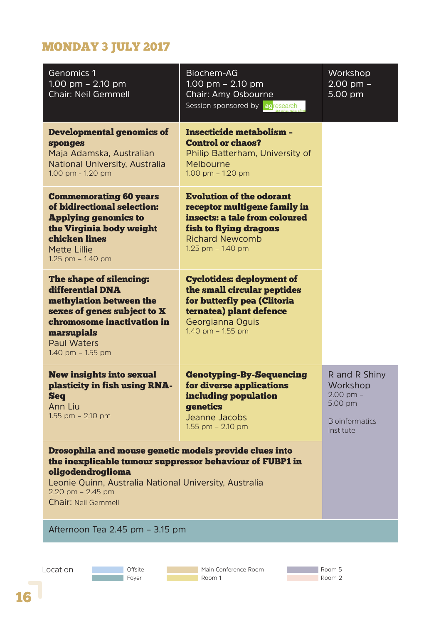# MONDAY 3 JULY 2017

| Genomics 1<br>1.00 pm $-$ 2.10 pm<br><b>Chair: Neil Gemmell</b>                                                                                                                                                                                        | Biochem-AG<br>1.00 pm $-$ 2.10 pm<br>Chair: Amy Osbourne<br>Session sponsored by agresearch                                                                               | Workshop<br>$2.00$ pm $-$<br>5.00 pm                                                        |
|--------------------------------------------------------------------------------------------------------------------------------------------------------------------------------------------------------------------------------------------------------|---------------------------------------------------------------------------------------------------------------------------------------------------------------------------|---------------------------------------------------------------------------------------------|
| <b>Developmental genomics of</b><br>sponges<br>Maja Adamska, Australian<br>National University, Australia<br>1.00 pm - 1.20 pm                                                                                                                         | <b>Insecticide metabolism -</b><br><b>Control or chaos?</b><br>Philip Batterham, University of<br>Melbourne<br>1.00 pm $-$ 1.20 pm                                        |                                                                                             |
| <b>Commemorating 60 years</b><br>of bidirectional selection:<br><b>Applying genomics to</b><br>the Virginia body weight<br>chicken lines<br><b>Mette Lillie</b><br>1.25 pm - 1.40 pm                                                                   | <b>Evolution of the odorant</b><br>receptor multigene family in<br>insects: a tale from coloured<br>fish to flying dragons<br><b>Richard Newcomb</b><br>1.25 pm - 1.40 pm |                                                                                             |
| The shape of silencing:<br>differential DNA<br>methylation between the<br>sexes of genes subject to X<br>chromosome inactivation in<br>marsupials<br><b>Paul Waters</b><br>1.40 pm - 1.55 pm                                                           | <b>Cyclotides: deployment of</b><br>the small circular peptides<br>for butterfly pea (Clitoria<br>ternatea) plant defence<br>Georgianna Oguis<br>1.40 pm - 1.55 pm        |                                                                                             |
| <b>New insights into sexual</b><br>plasticity in fish using RNA-<br><b>Seq</b><br>Ann Liu<br>1.55 pm - 2.10 pm                                                                                                                                         | <b>Genotyping-By-Sequencing</b><br>for diverse applications<br>including population<br>genetics<br>Jeanne Jacobs<br>1.55 pm $-$ 2.10 pm                                   | R and R Shiny<br>Workshop<br>$2.00$ pm $-$<br>5.00 pm<br><b>Bioinformatics</b><br>Institute |
| Drosophila and mouse genetic models provide clues into<br>the inexplicable tumour suppressor behaviour of FUBP1 in<br>oligodendroglioma<br>Leonie Quinn, Australia National University, Australia<br>2.20 pm $-$ 2.45 pm<br><b>Chair: Neil Gemmell</b> |                                                                                                                                                                           |                                                                                             |
| Afternoon Tea 2.45 pm - 3.15 pm                                                                                                                                                                                                                        |                                                                                                                                                                           |                                                                                             |
|                                                                                                                                                                                                                                                        |                                                                                                                                                                           |                                                                                             |

T



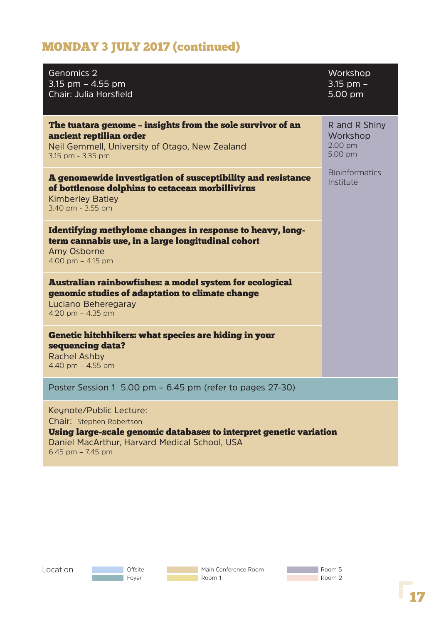# MONDAY 3 JULY 2017 (continued)

| Genomics 2<br>3.15 pm $-$ 4.55 pm<br>Chair: Julia Horsfield                                                                                                                                            | Workshop<br>$3.15$ pm $-$<br>5.00 pm                  |
|--------------------------------------------------------------------------------------------------------------------------------------------------------------------------------------------------------|-------------------------------------------------------|
| The tuatara genome - insights from the sole survivor of an<br>ancient reptilian order<br>Neil Gemmell, University of Otago, New Zealand<br>3.15 pm - 3.35 pm                                           | R and R Shiny<br>Workshop<br>$2.00$ pm $-$<br>5.00 pm |
| A genomewide investigation of susceptibility and resistance<br>of bottlenose dolphins to cetacean morbillivirus<br><b>Kimberley Batley</b><br>3.40 pm - 3.55 pm                                        | <b>Bioinformatics</b><br>Institute                    |
| Identifying methylome changes in response to heavy, long-<br>term cannabis use, in a large longitudinal cohort<br>Amy Osborne<br>4.00 pm $-$ 4.15 pm                                                   |                                                       |
| Australian rainbowfishes: a model system for ecological<br>genomic studies of adaptation to climate change<br>Luciano Beheregaray<br>4.20 pm $-$ 4.35 pm                                               |                                                       |
| Genetic hitchhikers: what species are hiding in your<br>sequencing data?<br><b>Rachel Ashby</b><br>4.40 pm - 4.55 pm                                                                                   |                                                       |
| Poster Session 1 5.00 pm - 6.45 pm (refer to pages 27-30)                                                                                                                                              |                                                       |
| Keynote/Public Lecture:<br><b>Chair:</b> Stephen Robertson<br>Using large-scale genomic databases to interpret genetic variation<br>Daniel MacArthur, Harvard Medical School, USA<br>6.45 pm - 7.45 pm |                                                       |

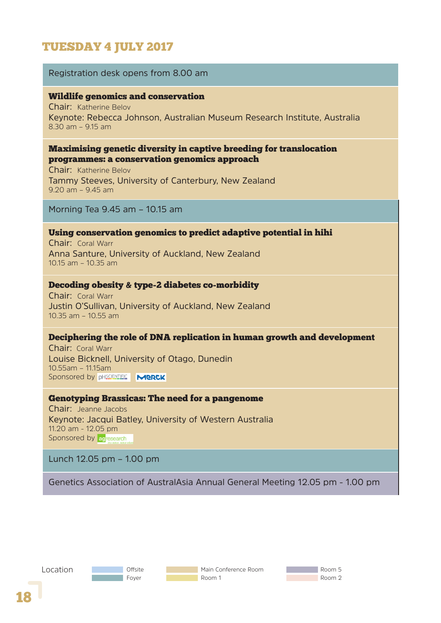## TUESDAY 4 JULY 2017

#### Registration desk opens from 8.00 am

#### Wildlife genomics and conservation

Chair: Katherine Belov Keynote: Rebecca Johnson, Australian Museum Research Institute, Australia 8.30 am – 9.15 am

#### Maximising genetic diversity in captive breeding for translocation programmes: a conservation genomics approach

Chair: Katherine Belov Tammy Steeves, University of Canterbury, New Zealand 9.20 am – 9.45 am

Morning Tea 9.45 am – 10.15 am

#### Using conservation genomics to predict adaptive potential in hihi

Chair: Coral Warr Anna Santure, University of Auckland, New Zealand 10.15 am – 10.35 am

#### Decoding obesity & type-2 diabetes co-morbidity

Chair: Coral Warr Justin O'Sullivan, University of Auckland, New Zealand 10.35 am – 10.55 am

#### Deciphering the role of DNA replication in human growth and development

Chair: Coral Warr Louise Bicknell, University of Otago, Dunedin **10.55am – 11.15am i komponist zyber zyber zyber zyber zyber zyber zyber zyber zyber zyber zyber zyber zyber zy** Sponsored by **pHSCIENTIFIC MERCK** 

#### Genotyping Brassicas: The need for a pangenome

Chair: Jeanne Jacobs Keynote: Jacqui Batley, University of Western Australia 11.20 am - 12.05 pm Sponsored by agresearch

Lunch 12.05 pm – 1.00 pm

Genetics Association of AustralAsia Annual General Meeting 12.05 pm - 1.00 pm



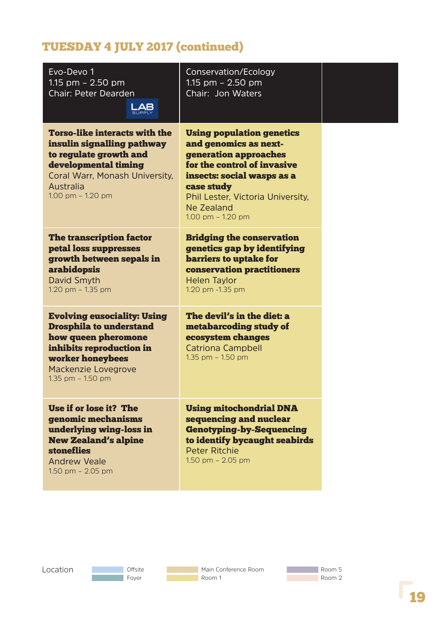| Evo-Devo 1<br>1.15 pm $-$ 2.50 pm<br><b>Chair: Peter Dearden</b><br><b>LAB</b>                                                                                                               | Conservation/Ecology<br>1.15 $pm - 2.50$ $pm$<br>Chair: Jon Waters                                                                                                                                                                      |  |
|----------------------------------------------------------------------------------------------------------------------------------------------------------------------------------------------|-----------------------------------------------------------------------------------------------------------------------------------------------------------------------------------------------------------------------------------------|--|
| <b>Torso-like interacts with the</b><br>insulin signalling pathway<br>to regulate growth and<br>developmental timing<br>Coral Warr, Monash University,<br>Australia<br>$1.00$ pm $- 1.20$ pm | <b>Using population genetics</b><br>and genomics as next-<br>generation approaches<br>for the control of invasive<br>insects: social wasps as a<br>case study<br>Phil Lester, Victoria University,<br>Ne Zealand<br>1.00 pm $-$ 1.20 pm |  |
| <b>The transcription factor</b><br>petal loss suppresses<br>growth between sepals in<br><b>arabidopsis</b><br><b>David Smyth</b><br>1.20 pm $-$ 1.35 pm                                      | <b>Bridging the conservation</b><br>genetics gap by identifying<br>barriers to uptake for<br>conservation practitioners<br><b>Helen Taylor</b><br>1.20 pm -1.35 pm                                                                      |  |
| <b>Evolving eusociality: Using</b><br><b>Drosphila to understand</b><br>how queen pheromone<br>inhibits reproduction in<br>worker honeybees<br>Mackenzie Lovegrove<br>1.35 pm $-$ 1.50 pm    | The devil's in the diet: a<br>metabarcoding study of<br>ecosystem changes<br><b>Catriona Campbell</b><br>1.35 pm - 1.50 pm                                                                                                              |  |
| Use if or lose it? The<br>genomic mechanisms<br>underlying wing-loss in<br><b>New Zealand's alpine</b><br><b>stoneflies</b><br><b>Andrew Veale</b><br>1.50 pm $-$ 2.05 pm                    | <b>Using mitochondrial DNA</b><br>sequencing and nuclear<br><b>Genotyping-by-Sequencing</b><br>to identify bycaught seabirds<br><b>Peter Ritchie</b><br>1.50 pm $-$ 2.05 pm                                                             |  |
|                                                                                                                                                                                              |                                                                                                                                                                                                                                         |  |



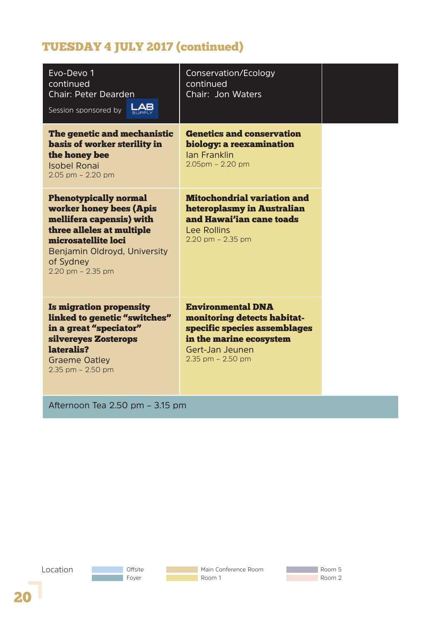| Evo-Devo 1<br>continued<br><b>Chair: Peter Dearden</b><br>LAB<br>Session sponsored by                                                                                                                     | Conservation/Ecology<br>continued<br>Chair: Jon Waters                                                                                                         |  |
|-----------------------------------------------------------------------------------------------------------------------------------------------------------------------------------------------------------|----------------------------------------------------------------------------------------------------------------------------------------------------------------|--|
| The genetic and mechanistic<br>basis of worker sterility in<br>the honey bee<br><b>Isobel Ronai</b><br>$2.05$ pm $- 2.20$ pm                                                                              | <b>Genetics and conservation</b><br>biology: a reexamination<br><b>Ian Franklin</b><br>$2.05$ pm - $2.20$ pm                                                   |  |
| <b>Phenotypically normal</b><br>worker honey bees (Apis<br>mellifera capensis) with<br>three alleles at multiple<br>microsatellite loci<br>Benjamin Oldroyd, University<br>of Sydney<br>2.20 pm - 2.35 pm | <b>Mitochondrial variation and</b><br>heteroplasmy in Australian<br>and Hawai'ian cane toads<br><b>Lee Rollins</b><br>$2.20$ pm $- 2.35$ pm                    |  |
| <b>Is migration propensity</b><br>linked to genetic "switches"<br>in a great "speciator"<br>silvereyes Zosterops<br>lateralis?<br><b>Graeme Oatley</b><br>$2.35$ pm $- 2.50$ pm                           | <b>Environmental DNA</b><br>monitoring detects habitat-<br>specific species assemblages<br>in the marine ecosystem<br>Gert-Jan Jeunen<br>$2.35$ pm $- 2.50$ pm |  |
| Afternoon Tea 2.50 pm - 3.15 pm                                                                                                                                                                           |                                                                                                                                                                |  |

Location**Offsite** Main Conference Room Room 5 **The Co Foyer** Room 1 **Room 2**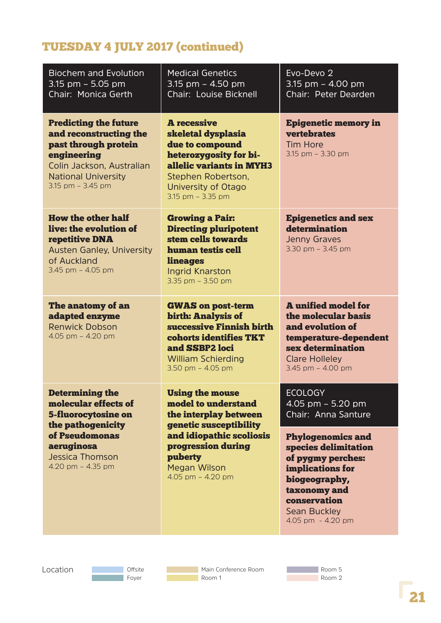| <b>Biochem and Evolution</b><br>3.15 pm $-$ 5.05 pm<br>Chair: Monica Gerth                                                                                                    | <b>Medical Genetics</b><br>3.15 pm $-$ 4.50 pm<br><b>Chair: Louise Bicknell</b>                                                                                                     | Evo-Devo 2<br>3.15 pm $-$ 4.00 pm<br>Chair: Peter Dearden                                                                                                                              |
|-------------------------------------------------------------------------------------------------------------------------------------------------------------------------------|-------------------------------------------------------------------------------------------------------------------------------------------------------------------------------------|----------------------------------------------------------------------------------------------------------------------------------------------------------------------------------------|
| <b>Predicting the future</b><br>and reconstructing the<br>past through protein<br>engineering<br>Colin Jackson, Australian<br><b>National University</b><br>3.15 pm - 3.45 pm | <b>A</b> recessive<br>skeletal dysplasia<br>due to compound<br>heterozygosity for bi-<br>allelic variants in MYH3<br>Stephen Robertson,<br>University of Otago<br>3.15 pm - 3.35 pm | <b>Epigenetic memory in</b><br><b>vertebrates</b><br><b>Tim Hore</b><br>3.15 pm - 3.30 pm                                                                                              |
| <b>How the other half</b><br>live: the evolution of<br>repetitive DNA<br><b>Austen Ganley, University</b><br>of Auckland<br>3.45 pm $-$ 4.05 pm                               | <b>Growing a Pair:</b><br><b>Directing pluripotent</b><br>stem cells towards<br>human testis cell<br><b>lineages</b><br><b>Ingrid Knarston</b><br>3.35 pm $-$ 3.50 pm               | <b>Epigenetics and sex</b><br>determination<br><b>Jenny Graves</b><br>3.30 pm $-$ 3.45 pm                                                                                              |
| The anatomy of an<br>adapted enzyme<br><b>Renwick Dobson</b><br>4.05 pm - 4.20 pm                                                                                             | <b>GWAS on post-term</b><br>birth: Analysis of<br>successive Finnish birth<br>cohorts identifies TKT<br>and SSBP2 loci<br><b>William Schierding</b><br>3.50 pm $-$ 4.05 pm          | <b>A</b> unified model for<br>the molecular basis<br>and evolution of<br>temperature-dependent<br>sex determination<br><b>Clare Holleley</b><br>3.45 pm $-$ 4.00 pm                    |
| <b>Determining the</b><br>molecular effects of<br><b>5-fluorocytosine on</b><br>the pathogenicity                                                                             | <b>Using the mouse</b><br>model to understand<br>the interplay between<br>genetic susceptibility                                                                                    | <b>ECOLOGY</b><br>$4.05$ pm $-5.20$ pm<br>Chair: Anna Santure                                                                                                                          |
| of Pseudomonas<br>aeruginosa<br><b>Jessica Thomson</b><br>4.20 pm $-$ 4.35 pm                                                                                                 | and idiopathic scoliosis<br>progression during<br>puberty<br><b>Megan Wilson</b><br>4.05 pm $-$ 4.20 pm                                                                             | <b>Phylogenomics and</b><br>species delimitation<br>of pygmy perches:<br>implications for<br>biogeography,<br>taxonomy and<br>conservation<br><b>Sean Buckley</b><br>4.05 pm - 4.20 pm |

Location

**Offsite Foyer** 

**Main Conference Room** Room 1

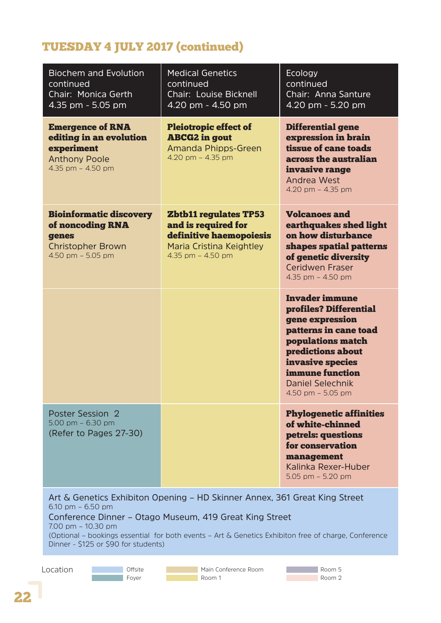| <b>Biochem and Evolution</b><br>continued<br>Chair: Monica Gerth<br>4.35 pm - 5.05 pm                                                                                                                                                                                                                                                 | <b>Medical Genetics</b><br>continued<br>Chair: Louise Bicknell<br>4.20 pm - 4.50 pm                                             | Ecology<br>continued<br>Chair: Anna Santure<br>$\overline{4.20}$ pm - 5.20 pm                                                                                                                                                  |
|---------------------------------------------------------------------------------------------------------------------------------------------------------------------------------------------------------------------------------------------------------------------------------------------------------------------------------------|---------------------------------------------------------------------------------------------------------------------------------|--------------------------------------------------------------------------------------------------------------------------------------------------------------------------------------------------------------------------------|
| <b>Emergence of RNA</b><br>editing in an evolution<br>experiment<br><b>Anthony Poole</b><br>4.35 pm - 4.50 pm                                                                                                                                                                                                                         | <b>Pleiotropic effect of</b><br><b>ABCG2</b> in gout<br>Amanda Phipps-Green<br>4.20 pm $-$ 4.35 pm                              | <b>Differential gene</b><br>expression in brain<br>tissue of cane toads<br>across the australian<br>invasive range<br><b>Andrea West</b><br>4.20 pm $-$ 4.35 pm                                                                |
| <b>Bioinformatic discovery</b><br>of noncoding RNA<br>genes<br><b>Christopher Brown</b><br>4.50 pm $-$ 5.05 pm                                                                                                                                                                                                                        | <b>Zbtb11 regulates TP53</b><br>and is required for<br>definitive haemopoiesis<br>Maria Cristina Keightley<br>4.35 pm - 4.50 pm | <b>Volcanoes and</b><br>earthquakes shed light<br>on how disturbance<br>shapes spatial patterns<br>of genetic diversity<br>Ceridwen Fraser<br>4.35 pm $-$ 4.50 pm                                                              |
|                                                                                                                                                                                                                                                                                                                                       |                                                                                                                                 | <b>Invader immune</b><br>profiles? Differential<br>gene expression<br>patterns in cane toad<br>populations match<br>predictions about<br>invasive species<br>immune function<br><b>Daniel Selechnik</b><br>4.50 pm $-$ 5.05 pm |
| Poster Session 2<br>5.00 pm $-$ 6.30 pm<br>(Refer to Pages 27-30)                                                                                                                                                                                                                                                                     |                                                                                                                                 | <b>Phylogenetic affinities</b><br>of white-chinned<br>petrels: questions<br>for conservation<br>management<br>Kalinka Rexer-Huber<br>5.05 pm $-$ 5.20 pm                                                                       |
| Art & Genetics Exhibiton Opening - HD Skinner Annex, 361 Great King Street<br>6.10 pm $-$ 6.50 pm<br>Conference Dinner - Otago Museum, 419 Great King Street<br>$7.00$ pm $-10.30$ pm<br>(Optional - bookings essential for both events - Art & Genetics Exhibiton free of charge, Conference<br>Dinner - \$125 or \$90 for students) |                                                                                                                                 |                                                                                                                                                                                                                                |

Location

**Offsite Foyer** 

**Main Conference Room** Room 1

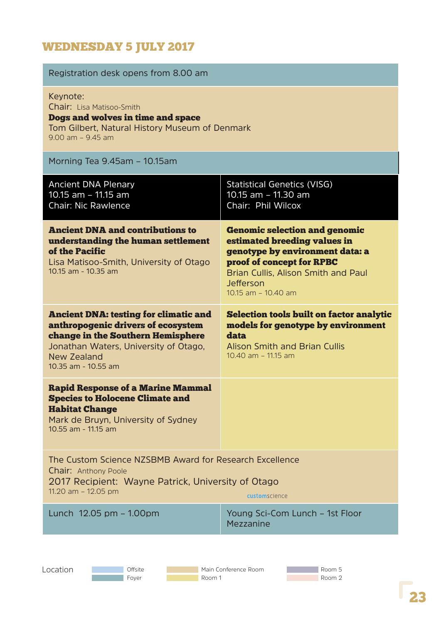# WEDNESDAY 5 JULY 2017

| Registration desk opens from 8.00 am                                                                                                                                                                   |                                                                                                                                                                                                                 |
|--------------------------------------------------------------------------------------------------------------------------------------------------------------------------------------------------------|-----------------------------------------------------------------------------------------------------------------------------------------------------------------------------------------------------------------|
| Keynote:<br><b>Chair:</b> Lisa Matisoo-Smith<br>Dogs and wolves in time and space<br>Tom Gilbert, Natural History Museum of Denmark<br>$9.00$ am $- 9.45$ am                                           |                                                                                                                                                                                                                 |
| Morning Tea 9.45am - 10.15am                                                                                                                                                                           |                                                                                                                                                                                                                 |
| <b>Ancient DNA Plenary</b><br>10.15 am - 11.15 am<br><b>Chair: Nic Rawlence</b>                                                                                                                        | <b>Statistical Genetics (VISG)</b><br>10.15 am - 11.30 am<br>Chair: Phil Wilcox                                                                                                                                 |
| <b>Ancient DNA and contributions to</b><br>understanding the human settlement<br>of the Pacific<br>Lisa Matisoo-Smith, University of Otago<br>10.15 am - 10.35 am                                      | <b>Genomic selection and genomic</b><br>estimated breeding values in<br>genotype by environment data: a<br>proof of concept for RPBC<br>Brian Cullis, Alison Smith and Paul<br>Jefferson<br>10.15 am - 10.40 am |
| <b>Ancient DNA: testing for climatic and</b><br>anthropogenic drivers of ecosystem<br>change in the Southern Hemisphere<br>Jonathan Waters, University of Otago,<br>New Zealand<br>10.35 am - 10.55 am | <b>Selection tools built on factor analytic</b><br>models for genotype by environment<br>data<br><b>Alison Smith and Brian Cullis</b><br>10.40 am - 11.15 am                                                    |
| <b>Rapid Response of a Marine Mammal</b><br><b>Species to Holocene Climate and</b><br><b>Habitat Change</b><br>Mark de Bruyn, University of Sydney<br>10.55 am - 11.15 am                              |                                                                                                                                                                                                                 |
| The Custom Science NZSBMB Award for Research Excellence<br><b>Chair: Anthony Poole</b><br>2017 Recipient: Wayne Patrick, University of Otago<br>11.20 am $-$ 12.05 pm                                  | <b>custom</b> science                                                                                                                                                                                           |
| Lunch 12.05 pm - 1.00pm                                                                                                                                                                                | Young Sci-Com Lunch - 1st Floor<br>Mezzanine                                                                                                                                                                    |
| Location<br>Offsite<br>Foyer<br>Room 1                                                                                                                                                                 | Main Conference Room<br>Room 5<br>Room 2                                                                                                                                                                        |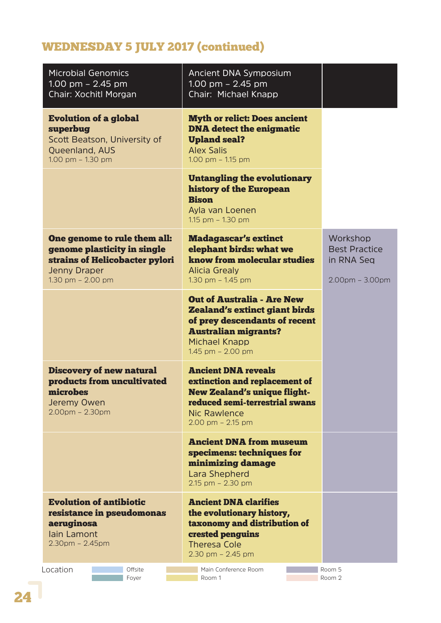# WEDNESDAY 5 JULY 2017 (continued)

| <b>Microbial Genomics</b><br>1.00 pm $-$ 2.45 pm<br>Chair: Xochitl Morgan                                                                   | Ancient DNA Symposium<br>1.00 pm $-$ 2.45 pm<br>Chair: Michael Knapp                                                                                                                     |                                                                     |
|---------------------------------------------------------------------------------------------------------------------------------------------|------------------------------------------------------------------------------------------------------------------------------------------------------------------------------------------|---------------------------------------------------------------------|
| <b>Evolution of a global</b><br>superbug<br>Scott Beatson, University of<br>Queenland, AUS<br>1.00 pm $-$ 1.30 pm                           | <b>Myth or relict: Does ancient</b><br><b>DNA</b> detect the enigmatic<br><b>Upland seal?</b><br><b>Alex Salis</b><br>$1.00$ pm $- 1.15$ pm                                              |                                                                     |
|                                                                                                                                             | <b>Untangling the evolutionary</b><br>history of the European<br><b>Bison</b><br>Ayla van Loenen<br>1.15 pm - 1.30 pm                                                                    |                                                                     |
| One genome to rule them all:<br>genome plasticity in single<br>strains of Helicobacter pylori<br><b>Jenny Draper</b><br>1.30 pm $- 2.00$ pm | <b>Madagascar's extinct</b><br>elephant birds: what we<br>know from molecular studies<br><b>Alicia Grealy</b><br>1.30 pm - 1.45 pm                                                       | Workshop<br><b>Best Practice</b><br>in RNA Seg<br>$2.00pm - 3.00pm$ |
|                                                                                                                                             | <b>Out of Australia - Are New</b><br><b>Zealand's extinct giant birds</b><br>of prey descendants of recent<br><b>Australian migrants?</b><br><b>Michael Knapp</b><br>1.45 pm $-$ 2.00 pm |                                                                     |
| <b>Discovery of new natural</b><br>products from uncultivated<br>microbes<br>Jeremy Owen<br>$2.00pm - 2.30pm$                               | <b>Ancient DNA reveals</b><br>extinction and replacement of<br><b>New Zealand's unique flight-</b><br>reduced semi-terrestrial swans<br><b>Nic Rawlence</b><br>$2.00$ pm $- 2.15$ pm     |                                                                     |
|                                                                                                                                             | <b>Ancient DNA from museum</b><br>specimens: techniques for<br>minimizing damage<br>Lara Shepherd<br>$2.15$ pm $- 2.30$ pm                                                               |                                                                     |
| <b>Evolution of antibiotic</b><br>resistance in pseudomonas<br>aeruginosa<br>lain Lamont<br>$2.30$ pm - $2.45$ pm                           | <b>Ancient DNA clarifies</b><br>the evolutionary history,<br>taxonomy and distribution of<br>crested penguins<br><b>Theresa Cole</b><br>$2.30$ pm $- 2.45$ pm                            |                                                                     |
| Location<br>Offsite<br>Foyer                                                                                                                | Main Conference Room<br>Room 1                                                                                                                                                           | Room 5<br>Room 2                                                    |

24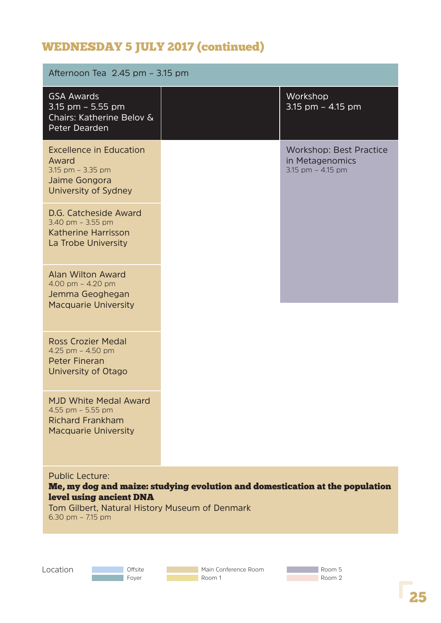# WEDNESDAY 5 JULY 2017 (continued)

| Afternoon Tea 2.45 pm - 3.15 pm                                                                                                                                                                            |  |                                                                        |
|------------------------------------------------------------------------------------------------------------------------------------------------------------------------------------------------------------|--|------------------------------------------------------------------------|
| <b>GSA Awards</b><br>3.15 pm $-$ 5.55 pm<br>Chairs: Katherine Belov &<br>Peter Dearden                                                                                                                     |  | Workshop<br>3.15 pm $-$ 4.15 pm                                        |
| <b>Excellence in Education</b><br>Award<br>3.15 pm $-$ 3.35 pm<br>Jaime Gongora<br>University of Sydney                                                                                                    |  | <b>Workshop: Best Practice</b><br>in Metagenomics<br>3.15 pm - 4.15 pm |
| D.G. Catcheside Award<br>3.40 pm $-$ 3.55 pm<br>Katherine Harrisson<br>La Trobe University                                                                                                                 |  |                                                                        |
| <b>Alan Wilton Award</b><br>4.00 pm $-$ 4.20 pm<br>Jemma Geoghegan<br><b>Macquarie University</b>                                                                                                          |  |                                                                        |
| <b>Ross Crozier Medal</b><br>4.25 pm $-$ 4.50 pm<br><b>Peter Fineran</b><br>University of Otago                                                                                                            |  |                                                                        |
| <b>MJD White Medal Award</b><br>4.55 pm - 5.55 pm<br><b>Richard Frankham</b><br><b>Macquarie University</b>                                                                                                |  |                                                                        |
| <b>Public Lecture:</b><br>Me, my dog and maize: studying evolution and domestication at the population<br>level using ancient DNA<br>Tom Gilbert, Natural History Museum of Denmark<br>6.30 pm $- 7.15$ pm |  |                                                                        |

Location

**Offsite Foyer** 

Main Conference Room Room 1

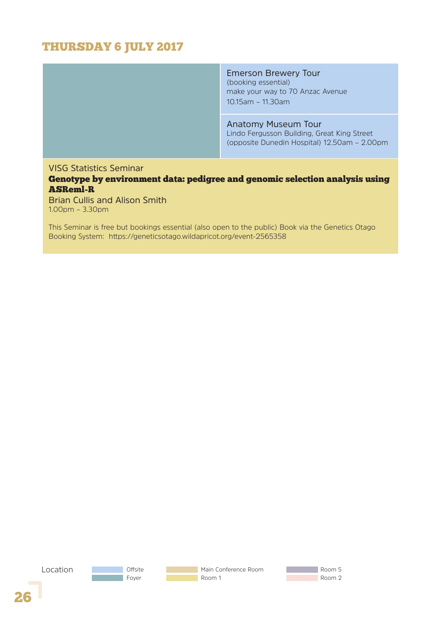### THURSDAY 6 JULY 2017

Emerson Brewery Tour (booking essential) make your way to 70 Anzac Avenue 10.15am – 11.30am

Anatomy Museum Tour

Lindo Fergusson Building, Great King Street (opposite Dunedin Hospital) 12.50am – 2.00pm

#### VISG Statistics Seminar

Genotype by environment data: pedigree and genomic selection analysis using ASReml-R

Brian Cullis and Alison Smith 1.00pm – 3.30pm

This Seminar is free but bookings essential (also open to the public) Book via the Genetics Otago Booking System: https://geneticsotago.wildapricot.org/event-2565358

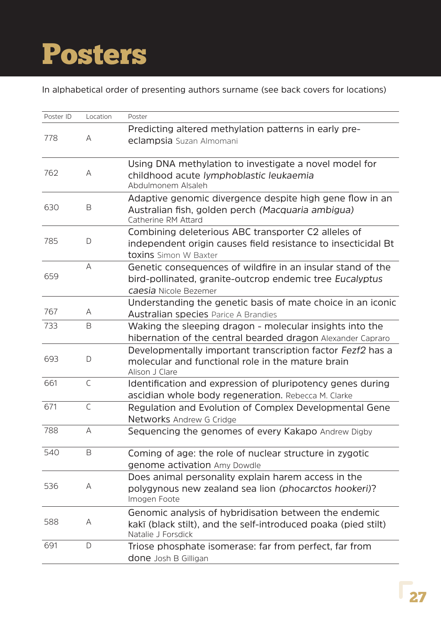# Posters

In alphabetical order of presenting authors surname (see back covers for locations)

| Poster ID | Location     | Poster                                                                                                                                           |
|-----------|--------------|--------------------------------------------------------------------------------------------------------------------------------------------------|
| 778       | A            | Predicting altered methylation patterns in early pre-<br>eclampsia Suzan Almomani                                                                |
| 762       | A            | Using DNA methylation to investigate a novel model for<br>childhood acute lymphoblastic leukaemia<br>Abdulmonem Alsaleh                          |
| 630       | B            | Adaptive genomic divergence despite high gene flow in an<br>Australian fish, golden perch (Macquaria ambigua)<br>Catherine RM Attard             |
| 785       | D            | Combining deleterious ABC transporter C2 alleles of<br>independent origin causes field resistance to insecticidal Bt<br>toxins Simon W Baxter    |
| 659       | A            | Genetic consequences of wildfire in an insular stand of the<br>bird-pollinated, granite-outcrop endemic tree Eucalyptus<br>caesia Nicole Bezemer |
| 767       | A            | Understanding the genetic basis of mate choice in an iconic<br><b>Australian species Parice A Brandies</b>                                       |
| 733       | B            | Waking the sleeping dragon - molecular insights into the<br>hibernation of the central bearded dragon Alexander Capraro                          |
| 693       | D            | Developmentally important transcription factor Fezf2 has a<br>molecular and functional role in the mature brain<br>Alison J Clare                |
| 661       | $\mathsf{C}$ | Identification and expression of pluripotency genes during<br>ascidian whole body regeneration. Rebecca M. Clarke                                |
| 671       | $\mathsf{C}$ | Regulation and Evolution of Complex Developmental Gene<br>Networks Andrew G Cridge                                                               |
| 788       | А            | Sequencing the genomes of every Kakapo Andrew Digby                                                                                              |
| 540       | B            | Coming of age: the role of nuclear structure in zygotic<br>genome activation Amy Dowdle                                                          |
| 536       | A            | Does animal personality explain harem access in the<br>polygynous new zealand sea lion (phocarctos hookeri)?<br>Imogen Foote                     |
| 588       | A            | Genomic analysis of hybridisation between the endemic<br>kakī (black stilt), and the self-introduced poaka (pied stilt)<br>Natalie J Forsdick    |
| 691       | D            | Triose phosphate isomerase: far from perfect, far from<br><b>done</b> Josh B Gilligan                                                            |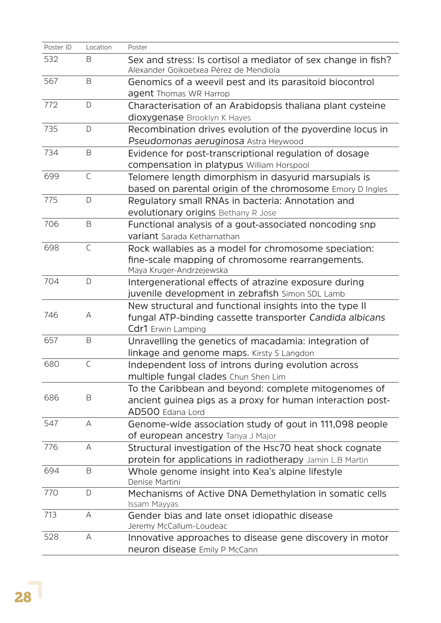| Poster ID | Location     | Poster                                                                                                  |
|-----------|--------------|---------------------------------------------------------------------------------------------------------|
| 532       | B            | Sex and stress: Is cortisol a mediator of sex change in fish?<br>Alexander Goikoetxea Pérez de Mendiola |
| 567       | B            | Genomics of a weevil pest and its parasitoid biocontrol                                                 |
|           |              | agent Thomas WR Harrop                                                                                  |
| 772       | D            | Characterisation of an Arabidopsis thaliana plant cysteine                                              |
|           |              | dioxygenase Brooklyn K Hayes                                                                            |
| 735       | D            | Recombination drives evolution of the pyoverdine locus in                                               |
|           |              | Pseudomonas aeruginosa Astra Heywood                                                                    |
| 734       | B            | Evidence for post-transcriptional regulation of dosage                                                  |
|           |              | compensation in platypus William Horspool                                                               |
| 699       | $\mathsf{C}$ | Telomere length dimorphism in dasyurid marsupials is                                                    |
|           |              | based on parental origin of the chromosome Emory D Ingles                                               |
| 775       | D            | Regulatory small RNAs in bacteria: Annotation and                                                       |
|           |              | evolutionary origins Bethany R Jose                                                                     |
| 706       | B            | Functional analysis of a gout-associated noncoding snp                                                  |
|           |              | variant Sarada Ketharnathan                                                                             |
| 698       | $\mathsf{C}$ | Rock wallabies as a model for chromosome speciation:                                                    |
|           |              | fine-scale mapping of chromosome rearrangements.                                                        |
|           |              | Maya Kruger-Andrzejewska                                                                                |
| 704       | D            | Intergenerational effects of atrazine exposure during                                                   |
|           |              | juvenile development in zebrafish Simon SDL Lamb                                                        |
|           |              | New structural and functional insights into the type II                                                 |
| 746       | Α            | fungal ATP-binding cassette transporter Candida albicans                                                |
|           |              | Cdr1 Erwin Lamping                                                                                      |
| 657       | B            | Unravelling the genetics of macadamia: integration of                                                   |
|           |              | linkage and genome maps. Kirsty S Langdon                                                               |
| 680       | $\mathsf{C}$ | Independent loss of introns during evolution across                                                     |
|           |              | multiple fungal clades Chun Shen Lim                                                                    |
|           |              | To the Caribbean and beyond: complete mitogenomes of                                                    |
| 686       | B            | ancient guinea pigs as a proxy for human interaction post-                                              |
|           |              | AD500 Edana Lord                                                                                        |
| 547       | A            | Genome-wide association study of gout in 111,098 people                                                 |
|           |              | of european ancestry Tanya J Major                                                                      |
| 776       | Α            | Structural investigation of the Hsc70 heat shock cognate                                                |
|           |              | protein for applications in radiotherapy Jamin L.B Martin                                               |
| 694       | B            | Whole genome insight into Kea's alpine lifestyle<br>Denise Martini                                      |
| 770       | D            | Mechanisms of Active DNA Demethylation in somatic cells<br>Issam Mayyas                                 |
| 713       | A            | Gender bias and late onset idiopathic disease                                                           |
|           |              | Jeremy McCallum-Loudeac                                                                                 |
| 528       | Α            | Innovative approaches to disease gene discovery in motor                                                |
|           |              | neuron disease Emily P McCann                                                                           |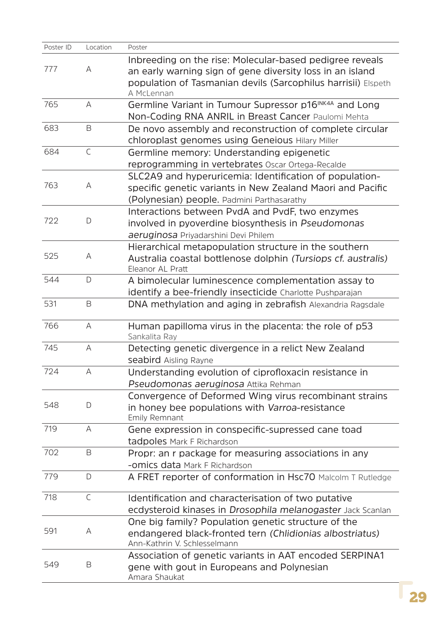| Poster ID | Location     | Poster                                                             |
|-----------|--------------|--------------------------------------------------------------------|
|           |              | Inbreeding on the rise: Molecular-based pedigree reveals           |
| 777       | Α            | an early warning sign of gene diversity loss in an island          |
|           |              | population of Tasmanian devils (Sarcophilus harrisii) Elspeth      |
|           |              | A McLennan                                                         |
| 765       | A            | Germline Variant in Tumour Supressor p16 <sup>INK4A</sup> and Long |
|           |              | Non-Coding RNA ANRIL in Breast Cancer Paulomi Mehta                |
| 683       | B            | De novo assembly and reconstruction of complete circular           |
|           |              | chloroplast genomes using Geneious Hilary Miller                   |
| 684       | $\mathsf{C}$ | Germline memory: Understanding epigenetic                          |
|           |              | reprogramming in vertebrates Oscar Ortega-Recalde                  |
|           |              | SLC2A9 and hyperuricemia: Identification of population-            |
| 763       | Α            | specific genetic variants in New Zealand Maori and Pacific         |
|           |              | (Polynesian) people. Padmini Parthasarathy                         |
|           |              | Interactions between PvdA and PvdF, two enzymes                    |
| 722       | D            | involved in pyoverdine biosynthesis in Pseudomonas                 |
|           |              | aeruginosa Priyadarshini Devi Philem                               |
|           |              | Hierarchical metapopulation structure in the southern              |
| 525       | Α            | Australia coastal bottlenose dolphin (Tursiops cf. australis)      |
|           |              | Eleanor AL Pratt                                                   |
| 544       | $\mathsf{D}$ | A bimolecular luminescence complementation assay to                |
|           |              | identify a bee-friendly insecticide Charlotte Pushparajan          |
| 531       | $\mathsf B$  | DNA methylation and aging in zebrafish Alexandria Ragsdale         |
| 766       | Α            | Human papilloma virus in the placenta: the role of p53             |
|           |              | Sankalita Ray                                                      |
| 745       | A            | Detecting genetic divergence in a relict New Zealand               |
|           |              | seabird Aisling Rayne                                              |
| 724       | А            | Understanding evolution of ciprofloxacin resistance in             |
|           |              | Pseudomonas aeruginosa Attika Rehman                               |
|           |              | Convergence of Deformed Wing virus recombinant strains             |
| 548       | D            | in honey bee populations with Varroa-resistance                    |
|           |              | <b>Emily Remnant</b>                                               |
| 719       | A            | Gene expression in conspecific-supressed cane toad                 |
|           |              | tadpoles Mark F Richardson                                         |
| 702       | B            | Propr: an r package for measuring associations in any              |
|           |              | - <b>omics data</b> Mark F Richardson                              |
| 779       | D            | A FRET reporter of conformation in Hsc70 Malcolm T Rutledge        |
| 718       | $\mathsf{C}$ | Identification and characterisation of two putative                |
|           |              | ecdysteroid kinases in Drosophila melanogaster Jack Scanlan        |
|           |              | One big family? Population genetic structure of the                |
| 591       | Α            | endangered black-fronted tern (Chlidionias albostriatus)           |
|           |              | Ann-Kathrin V. Schlesselmann                                       |
|           |              | Association of genetic variants in AAT encoded SERPINA1            |
| 549       | B            | gene with gout in Europeans and Polynesian                         |
|           |              | Amara Shaukat                                                      |